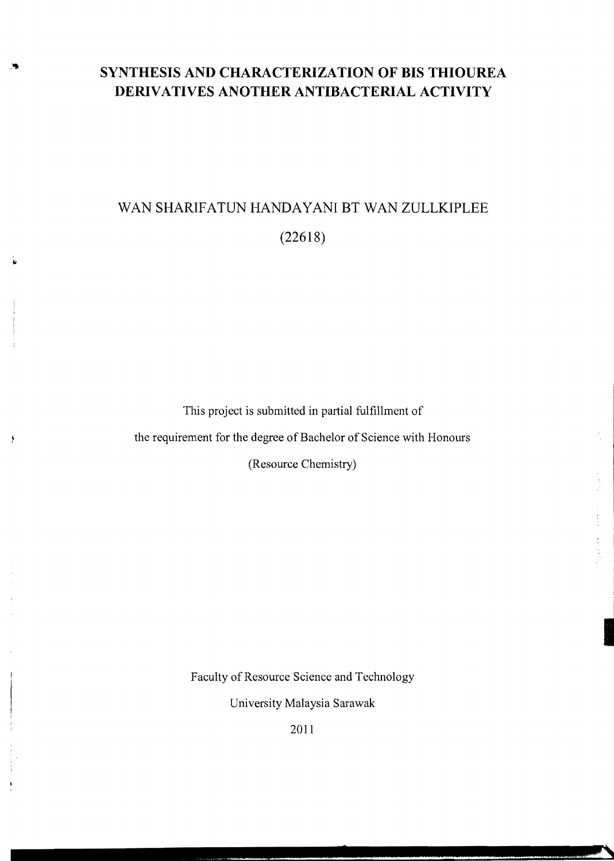# **SYNTHESIS AND CHARACTERIZATION OF BIS THIOUREA DERIVATIVES ANOTHER ANTIBACTERIAL ACTIVITY**

# WAN SHARIFATUN HANDAYANI BT WAN ZULLKIPLEE (22618)

This project is submitted in partial fulfillment of the requirement for the degree of Bachelor of Science with Honours (Resource Chemistry)

Faculty of Resource Science and Technology

University Malaysia Sarawak

2011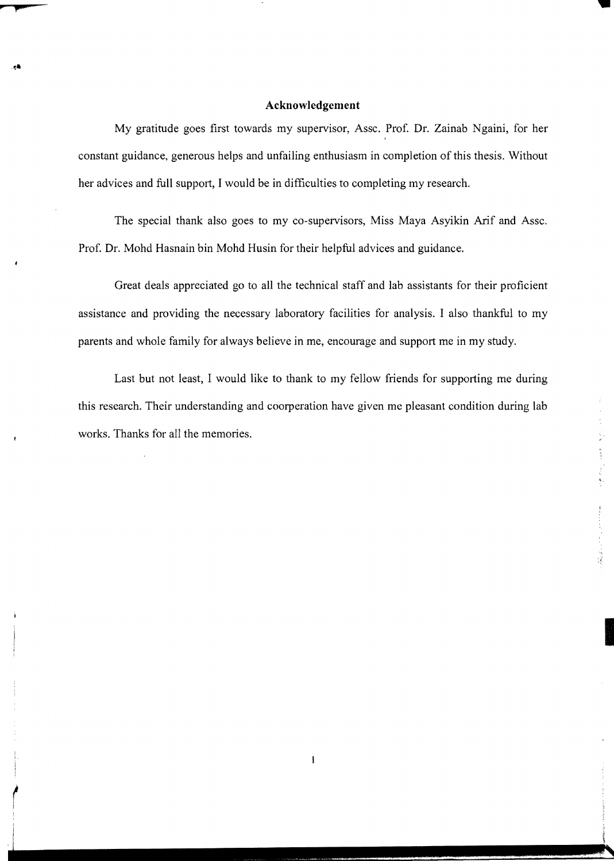#### **Acknowledgement**

My gratitude goes first towards my supervisor, Assc. Prof. Dr. Zainab Ngaini, for her , constant guidance, generous helps and unfailing enthusiasm in completion of this thesis. Without her advices and full support, I would be in difficulties to completing my research.

The special thank also goes to my co-supervisors, Miss Maya Asyikin Arif and Assc. Prof. Dr. Mohd Hasnain bin Mohd Husin for their helpful advices and guidance.

Great deals appreciated go to all the technical staff and lab assistants for their proficient assistance and providing the necessary laboratory facilities for analysis. I also thankful to my parents and whole family for always believe in me, encourage and support me in my study.

Last but not least, I would like to thank to my fellow friends for supporting me during this research. Their understanding and coorperation have given me pleasant condition during lab works. Thanks for all the memories.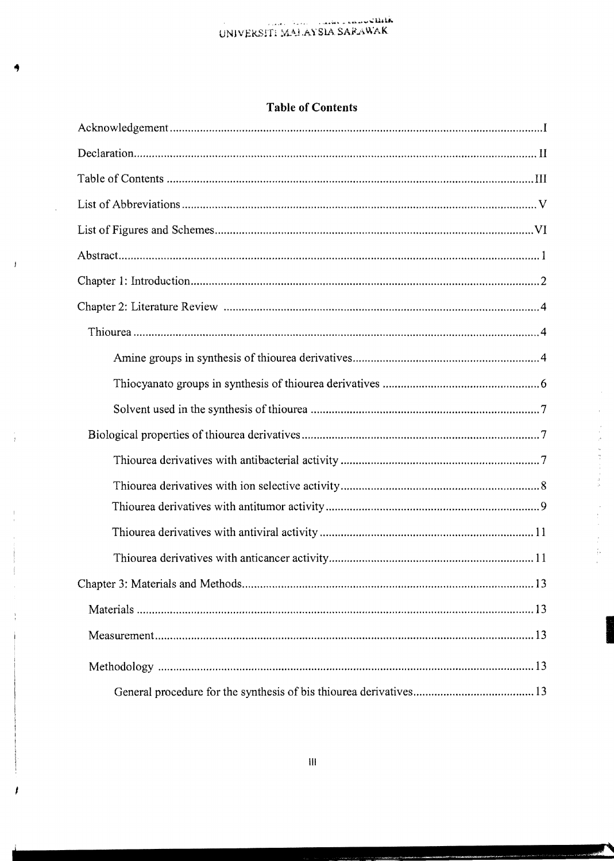# **Table of Contents**

 $\mathcal{A}^{\mathcal{A}}$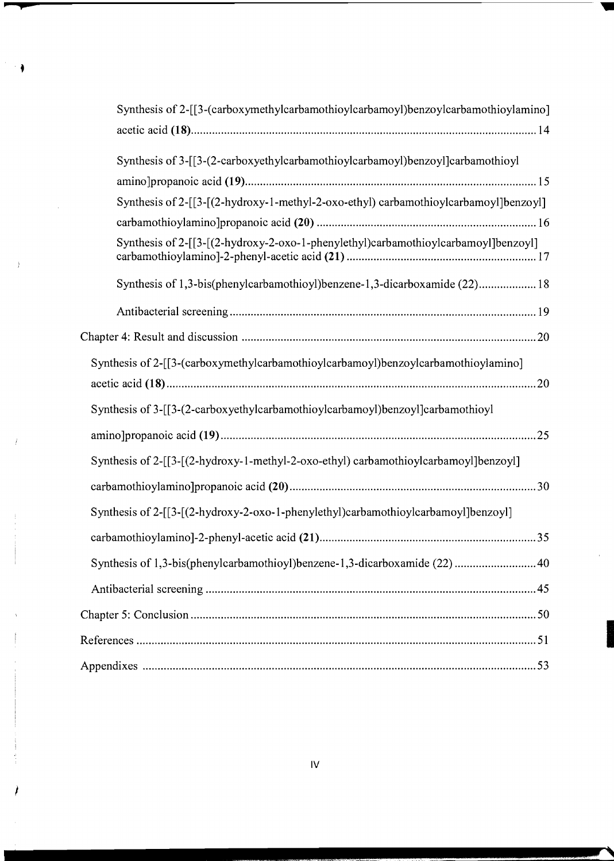| Synthesis of 2-[[3-(carboxymethylcarbamothioylcarbamoyl)benzoylcarbamothioylamino]   |
|--------------------------------------------------------------------------------------|
|                                                                                      |
| Synthesis of 3-[[3-(2-carboxyethylcarbamothioylcarbamoyl)benzoyl]carbamothioyl       |
|                                                                                      |
| Synthesis of 2-[[3-[(2-hydroxy-1-methyl-2-oxo-ethyl) carbamothioylcarbamoyl]benzoyl] |
|                                                                                      |
| Synthesis of 2-[[3-[(2-hydroxy-2-oxo-1-phenylethyl)carbamothioylcarbamoyl]benzoyl]   |
| Synthesis of 1,3-bis(phenylcarbamothioyl)benzene-1,3-dicarboxamide (22) 18           |
|                                                                                      |
|                                                                                      |
| Synthesis of 2-[[3-(carboxymethylcarbamothioylcarbamoyl)benzoylcarbamothioylamino]   |
|                                                                                      |
| Synthesis of 3-[[3-(2-carboxyethylcarbamothioylcarbamoyl)benzoyl]carbamothioyl       |
|                                                                                      |
| Synthesis of 2-[[3-[(2-hydroxy-1-methyl-2-oxo-ethyl) carbamothioylcarbamoyl]benzoyl] |
|                                                                                      |
| Synthesis of 2-[[3-[(2-hydroxy-2-oxo-1-phenylethyl)carbamothioylcarbamoyl]benzoyl]   |
|                                                                                      |
| Synthesis of 1,3-bis(phenylcarbamothioyl)benzene-1,3-dicarboxamide (22)  40          |
|                                                                                      |
|                                                                                      |
|                                                                                      |
|                                                                                      |

 $\bar{\beta}$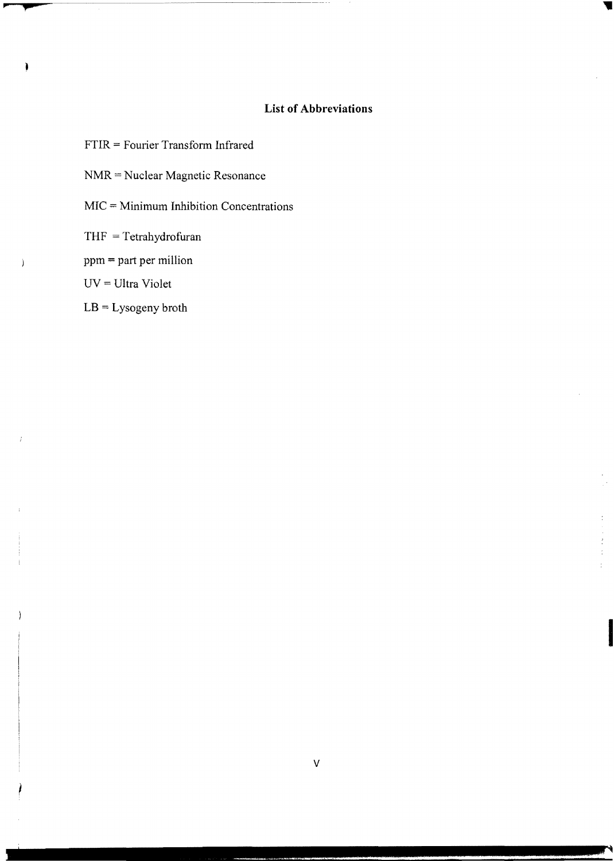# **List of Abbreviations**

- FTIR = Fourier Transform Infrared
- NMR = Nuclear Magnetic Resonance
- $MIC = Minimum Inhibition Concentrations$
- THF = Tetrahydrofuran
- ppm = part per million
- UV = Ultra Violet
- LB = Lysogeny broth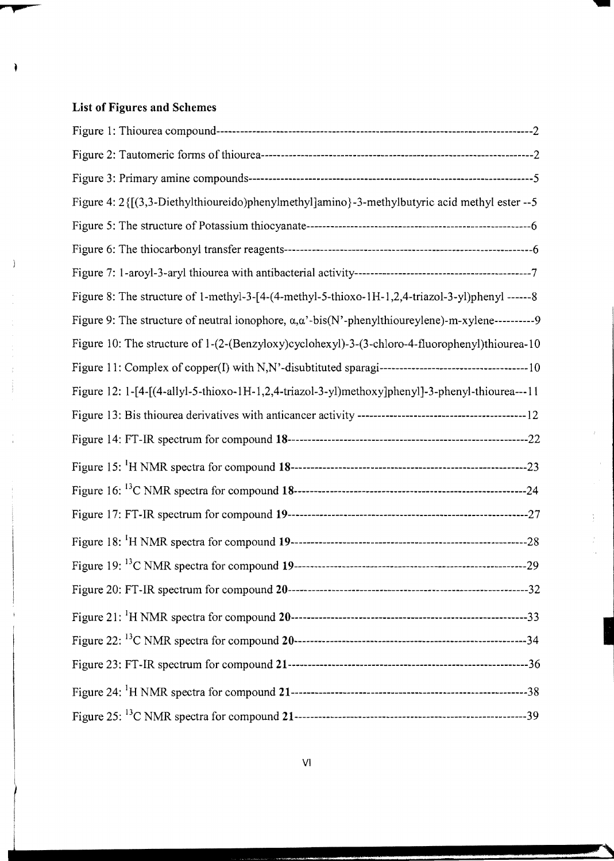# **List of Figures and Schemes**

| Figure 4: 2 {[(3,3-Diethylthioureido)phenylmethyl]amino}-3-methylbutyric acid methyl ester --5                  |
|-----------------------------------------------------------------------------------------------------------------|
|                                                                                                                 |
|                                                                                                                 |
|                                                                                                                 |
| Figure 8: The structure of 1-methyl-3-[4-(4-methyl-5-thioxo-1H-1,2,4-triazol-3-yl)phenyl ------8                |
| Figure 9: The structure of neutral ionophore, $\alpha, \alpha'$ -bis(N'-phenylthioureylene)-m-xylene----------9 |
| Figure 10: The structure of 1-(2-(Benzyloxy)cyclohexyl)-3-(3-chloro-4-fluorophenyl)thiourea-10                  |
|                                                                                                                 |
| Figure 12: 1-[4-[(4-allyl-5-thioxo-1H-1,2,4-triazol-3-yl)methoxy]phenyl]-3-phenyl-thiourea---11                 |
|                                                                                                                 |
|                                                                                                                 |
|                                                                                                                 |
|                                                                                                                 |
|                                                                                                                 |
|                                                                                                                 |
|                                                                                                                 |
|                                                                                                                 |
|                                                                                                                 |
|                                                                                                                 |
|                                                                                                                 |
|                                                                                                                 |
|                                                                                                                 |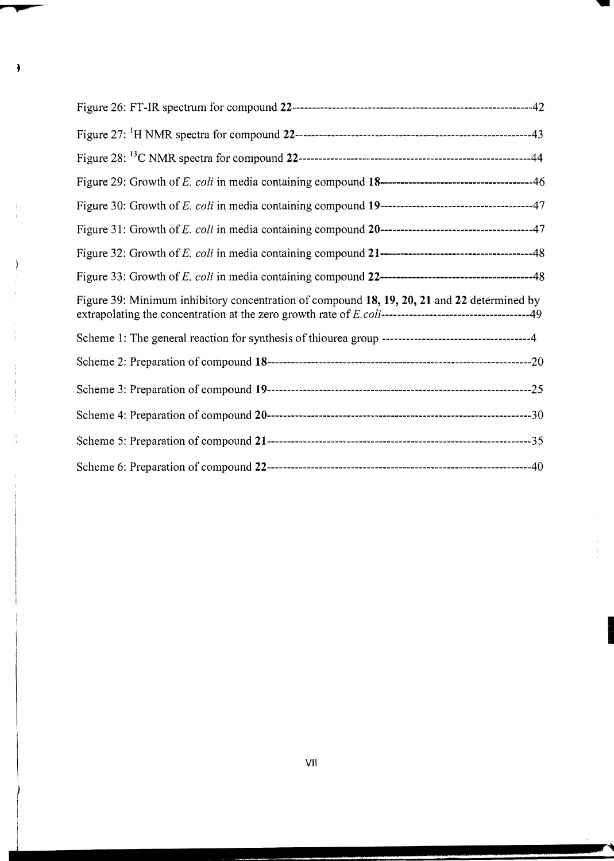| Figure 39: Minimum inhibitory concentration of compound 18, 19, 20, 21 and 22 determined by |
|---------------------------------------------------------------------------------------------|
|                                                                                             |
|                                                                                             |
|                                                                                             |
|                                                                                             |
|                                                                                             |
|                                                                                             |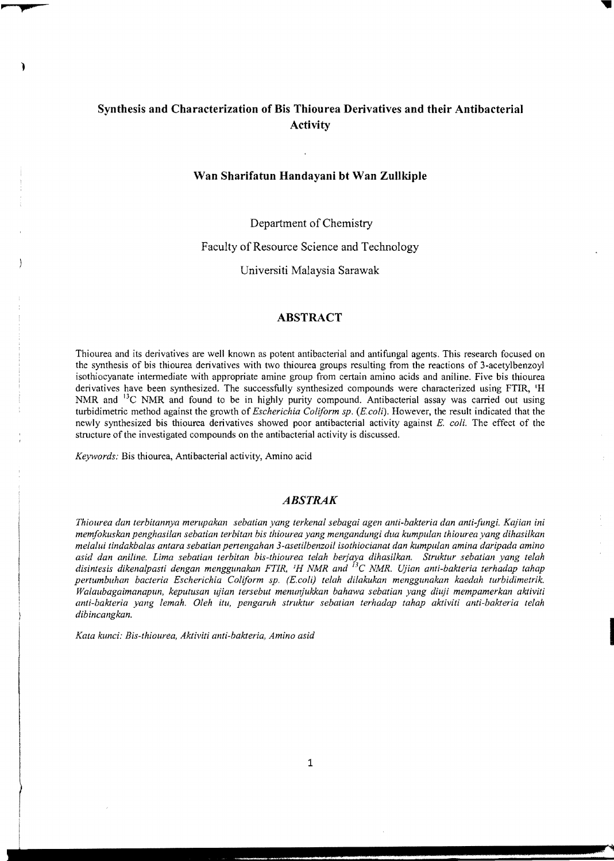# **Synthesis and Characterization of Bis Thiourea Derivatives and their Antibacterial Activity**

# **Wan Sharifatun Handayani bt Wan Zullkiple**

Department of Chemistry

Faculty of Resource Science and Technology

Universiti Malaysia Sarawak

# **ABSTRACT**

Thiourea and its derivatives are well known as potent antibacterial and antifungal agents. This research focused on the synthesis of bis thiourea derivatives with two thiourea groups resulting from the reactions of 3-acetylbenzoyl isothiocyanate intermediate with appropriate amine group from certain amino acids and aniline. Five bis thiourea derivatives have been synthesized. The successfully synthesized compounds were characterized using FTIR, <sup>1</sup>H NMR and <sup>13</sup>C NMR and found to be in highly purity compound. Antibacterial assay was carried out using turbidimetric method against the growth of *Escherichia Coliform sp. (E. coli).* However, the result indicated that the newly synthesized bis thiourea derivatives showed poor antibacterial activity against *E. coli.* The effect of the structure of the investigated compounds on the antibacterial activity is discussed.

*Keywords:* Bis thiourea, Antibacterial activity, Amino acid

#### *A BSTRAK*

*Thiourea dan terbitannya merupakan sebatian yang terkenal sebagai agen anti-bakteria dan anti-fungi. Kajian ini memfokuskan penghasilan sebatian terbitan his thiourea yang mengandungi dua kumpulan thiourea yang dihasilkan melalul tindakbalas antara sebatian pertengahan 3-asetilbenzoil isothiocianat dan kumpu/an amina daripada amino asid dan aniline. Lima sebatian terbitan bis-thiourea telah berjal,a dihasilkan. Struktur sebatian yang telah*  disintesis dikenalpasti dengan menggunakan FTIR, <sup>1</sup>H NMR and <sup>13</sup>C NMR. Ujian anti-bakteria terhadap tahap *pertumbuhan bacteria Escherichia Coliform sp. (E.coli) telah dilakukan menggunakan kaedah turbidimetrik. Walaubagaimanapun, keputusan ly'ian tersebut menunjukkan bahawa sebatian yang diuji mempamerkan aktiviti anti-bakteria yang lemah. Oleh Uu, pengaruh struktur sebatian terhadap tahap aktiviti anti-bakteria lelah dibincangkan.* 

*Kata kunci: Bis-thiourea, Aktiviti anti-bakleria, Amino asid*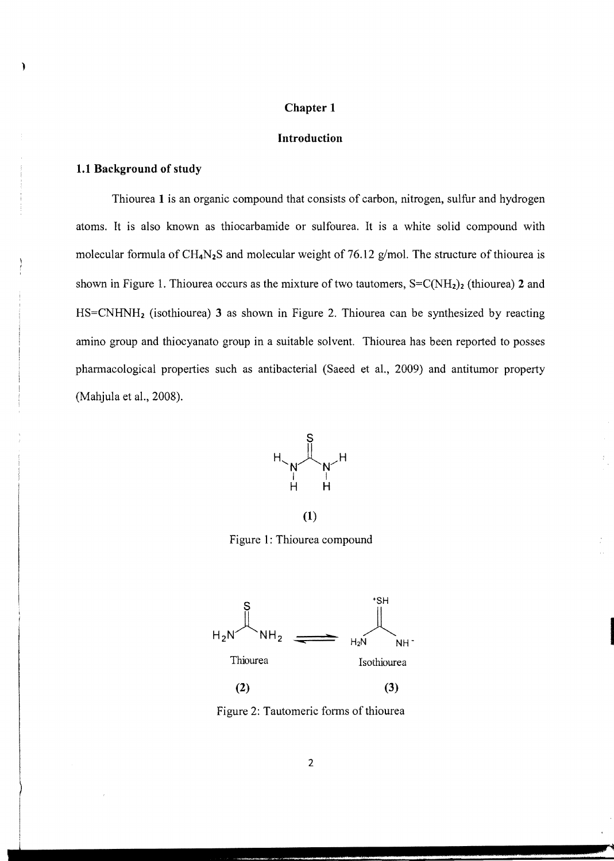#### **Chapter 1**

# **Introduction**

#### **1.1 Background of study**

Thiourea 1 is an organic compound that consists of carbon, nitrogen, sulfur and hydrogen atoms. It is also known as thiocarbamide or sulfourea. It is a white solid compound with molecular formula of  $CH_4N_2S$  and molecular weight of 76.12 g/mol. The structure of thiourea is shown in Figure 1. Thiourea occurs as the mixture of two tautomers,  $S=C(NH_2)_2$  (thiourea) 2 and HS=CNHNH2 (isothiourea) 3 as shown in Figure 2. Thiourea can be synthesized by reacting amino group and thiocyanato group in a suitable solvent. Thiourea has been reported to posses pharmacological properties such as antibacterial (Saeed et al., 2009) and antitumor property (Mahjula et al., 2008).



(1)

Figure 1: Thiourea compound



Figure 2: Tautomeric forms of thiourea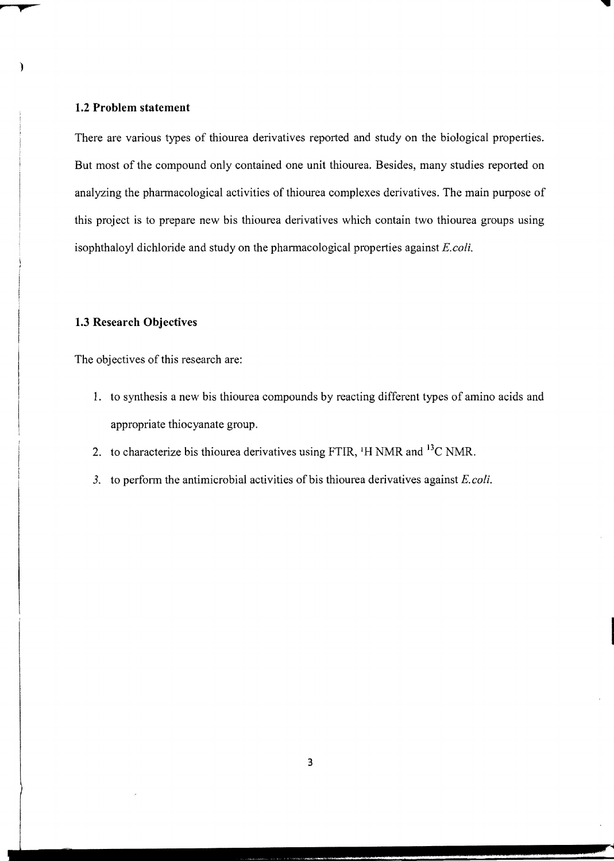#### **1.2 Problem statement**

There are various types of thiourea derivatives reported and study on the biological properties. But most of the compound only contained one unit thiourea. Besides, many studies reported on analyzing the pharmacological activities of thiourea complexes derivatives. The main purpose of this project is to prepare new bis thiourea derivatives which contain two thiourea groups using isophthaloyl dichloride and study on the pharmacological properties against *E.coli.* 

# **1.3 Research Objectives**

The objectives of this research are:

- 1. to synthesis a new bis thiourea compounds by reacting different types of amino acids and appropriate thiocyanate group.
- 2. to characterize bis thiourea derivatives using FTIR,  $H NMR$  and  $H^3C NMR$ .
- 3. to perform the antimicrobial activities of bis thiourea derivatives against *E. coli.*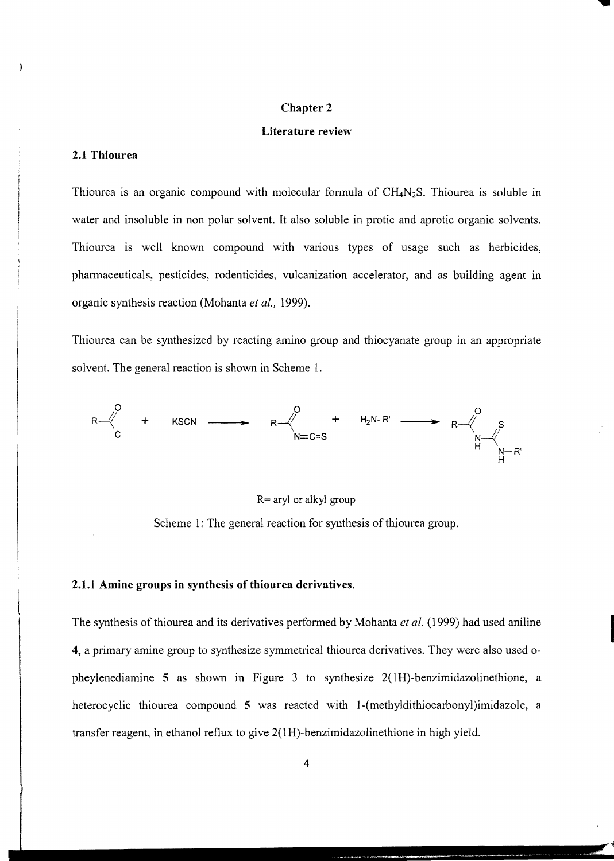#### **Chapter 2**

#### **Literature review**

# **2.1 Thiourea**

Thiourea is an organic compound with molecular formula of  $CH_4N_2S$ . Thiourea is soluble in water and insoluble in non polar solvent. It also soluble in protic and aprotic organic solvents. Thiourea is well known compound with various types of usage such as herbicides, pharmaceuticals, pesticides, rodenticides, vulcanization accelerator, and as building agent in organic synthesis reaction (Mohanta *et al., 1999).* 

Thiourea can be synthesized by reacting amino group and thiocyanate group in an appropriate solvent. The general reaction is shown in Scheme 1.



R= aryl or alkyl group

Scheme 1: The general reaction for synthesis of thiourea group.

#### **2.1.1 Amine groups in synthesis of thiourea derivatives.**

The synthesis of thiourea and its derivatives performed by Mohanta *et al.* (1999) had used aniline **4,** a primary amine group to synthesize symmetrical thiourea derivatives. They were also used 0 pheylenediamine 5 as shown in Figure 3 to synthesize 2(1H)-benzimidazolinethione, a heterocyclic thiourea compound 5 was reacted with l-(methyldithiocarbonyl)imidazole, a transfer reagent, in ethanol reflux to give 2( 1 H)-benzimidazolinethione in high yield.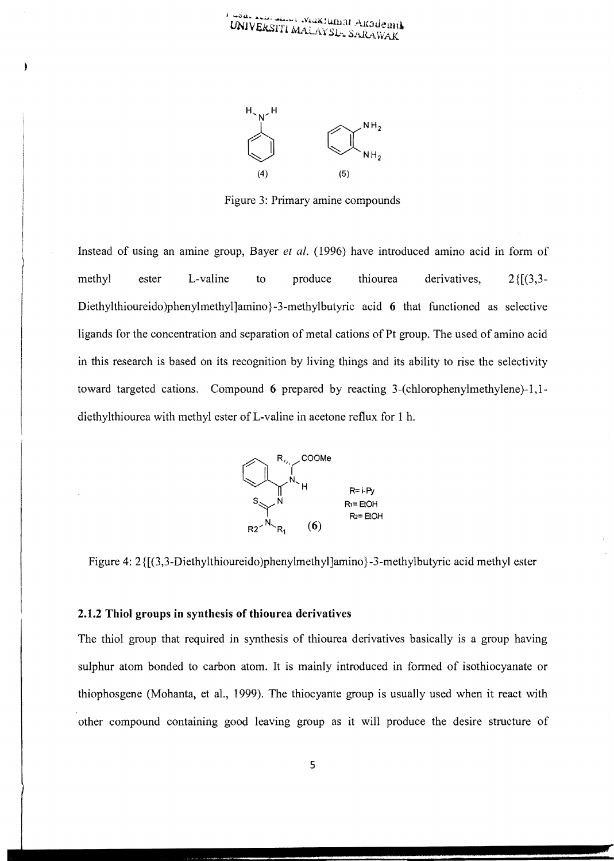

Figure 3: Primary amine compounds

Instead of using an amine group, Bayer *et al.* (1996) have introduced amino acid in form of methyl ester L-valine to produce thiourea derivatives, 2{[(3,3-Diethylthioureido)phenylmethyl]amino}-3-methylbutyric acid 6 that functioned as selective ligands for the concentration and separation of metal cations of Pt group. The used of amino acid in this research is based on its recognition by living things and its ability to rise the selectivity toward targeted cations. Compound 6 prepared by reacting  $3$ -(chlorophenylmethylene) $-1,1$ diethylthiourea with methyl ester of L-valine in acetone reflux for 1 h.



Figure 4: 2 { $[(3,3-Diet)$ <sup>th</sup>ioureido)phenylmethyl]amino}-3-methylbutyric acid methyl ester

# 2.1.2 Thiol groups in synthesis of thiourea derivatives

The thiol group that required in synthesis of thiourea derivatives basically is a group having sulphur atom bonded to carbon atom. It is mainly introduced in formed of isothiocyanate or thiophosgene (Mohanta, et aI., 1999). The thiocyante group is usually used when it react with other compound containing good leaving group as it will produce the desire structure of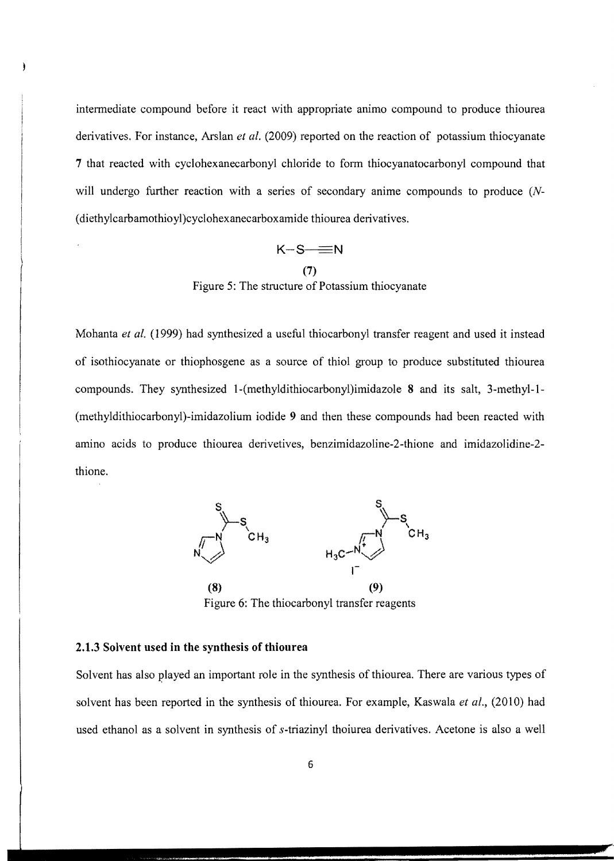intermediate compound before it react with appropriate animo compound to produce thiourea derivatives. For instance, Arslan *et ai.* (2009) reported on the reaction of potassium thiocyanate 7 that reacted with cyclohexanecarbonyl chloride to form thiocyanatocarbonyl compound that will undergo further reaction with a series of secondary anime compounds to produce *(N* (diethylcarbamothioyl )cyclohexanecarboxamide thiourea derivatives.

 $K-S \equiv N$ **(7)**  Figure 5: The structure of Potassium thiocyanate

Mohanta *et al.* (1999) had synthesized a useful thiocarbonyl transfer reagent and used it instead of isothiocyanate or thiophosgene as a source of thiol group to produce substituted thiourea compounds. They synthesized l-(methyldithiocarbonyl)imidazole 8 and its salt, 3-methyl-l (methyldithiocarbonyl)-imidazolium iodide 9 and then these compounds had been reacted with amino acids to produce thiourea derivetives, benzimidazoline-2-thione and imidazolidine-2 thione.



Figure 6: The thiocarbonyl transfer reagents

# **2.1.3 Solvent used in the synthesis of thiourea**

Solvent has also played an important role in the synthesis of thiourea. There are various types of solvent has been reported in the synthesis of thiourea. For example, Kaswala *et al.,* (2010) had used ethanol as a solvent in synthesis of s-triazinyl thoiurea derivatives. Acetone is also a well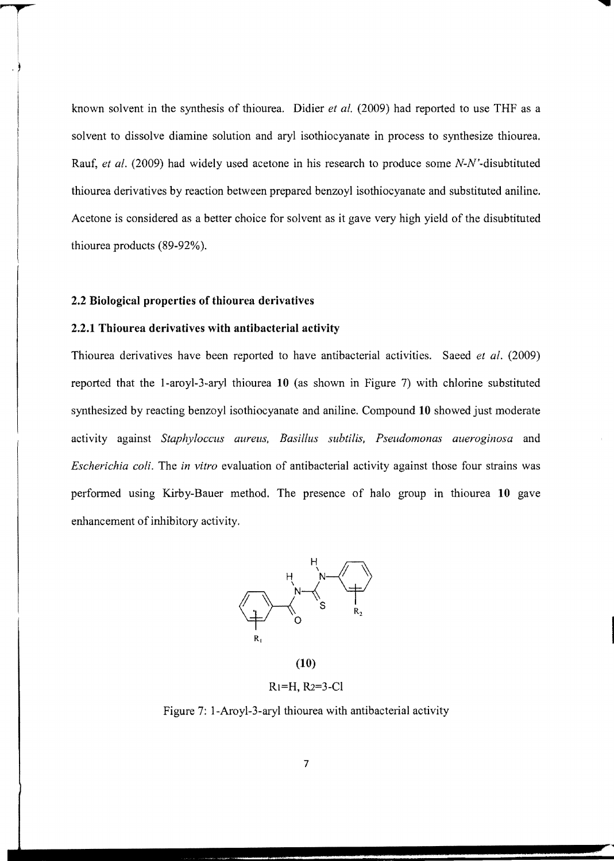known solvent in the synthesis of thiourea. Didier *et al.* (2009) had reported to use THF as a solvent to dissolve diamine solution and aryl isothiocyanate in process to synthesize thiourea. Rauf, *et al.* (2009) had widely used acetone in his research to produce some N-N'-disubtituted thiourea derivatives by reaction between prepared benzoyl isothiocyanate and substituted aniline. Acetone is considered as a better choice for solvent as it gave very high yield of the disubtituted thiourea products (89-92%).

# **2.2 Biological properties of thiourea derivatives**

# **2.2.1 Thiourea derivatives with antibacterial activity**

Thiourea derivatives have been reported to have antibacterial activities. Saeed *et al. (2009)*  reported that the l-aroyl-3-aryl thiourea **10** (as shown in Figure 7) with chlorine substituted synthesized by reacting benzoyl isothiocyanate and aniline. Compound **10** showed just moderate activity against *Staphyloccus aureus, Basillus subtilis, Pseudomonas aueroginosa* and *Escherichia coli.* The *in vitro* evaluation of antibacterial activity against those four strains was performed using Kirby-Bauer method. The presence of halo group in thiourea **10** gave enhancement of inhibitory activity.



Rl=H, R2=3-Cl

Figure 7: l-Aroyl-3-aryl thiourea with antibacterial activity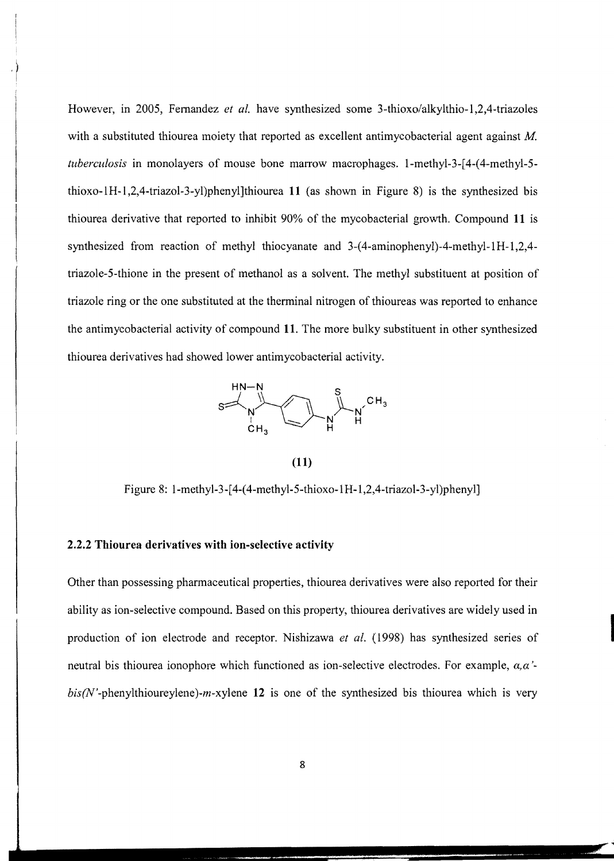However, in 2005, Fernandez *et al.* have synthesized some 3-thioxo/alkylthio-l,2,4-triazoles with a substituted thiourea moiety that reported as excellent antimycobacterial agent against M. *tuberculosis* in monolayers of mouse bone marrow macrophages. I-methyl-3-[4-(4-methyl-5 thioxo-IH-I,2,4-triazol-3-yl)phenyl]thiourea 11 (as shown in Figure 8) is the synthesized bis thiourea derivative that reported to inhibit 90% of the mycobacterial growth. Compound **11 is**  synthesized from reaction of methyl thiocyanate and 3-(4-aminophenyl)-4-methyl-lH-l,2,4 triazole-5-thione in the present of methanol as a solvent. The methyl substituent at position of triazole ring or the one substituted at the therminal nitrogen of thioureas was reported to enhance the antimycobacterial activity of compound 11. The more bulky substituent in other synthesized thiourea derivatives had showed lower antimycobacterial activity.



(11)

Figure 8: l-methyl-3-[4-(4-methyl-5-thioxo-1H-1,2,4-triazol-3-yl)phenyl]

# 2.2.2 Thiourea derivatives with ion-selective activity

Other than possessing pharmaceutical properties, thiourea derivatives were also reported for their ability as ion-selective compound. Based on this property, thiourea derivatives are widely used in production of ion electrode and receptor. Nishizawa *et al.* (1998) has synthesized series of neutral bis thiourea ionophore which functioned as ion-selective electrodes. For example, *a,a* '  $bis/N$ -phenylthioureylene)-m-xylene 12 is one of the synthesized bis thiourea which is very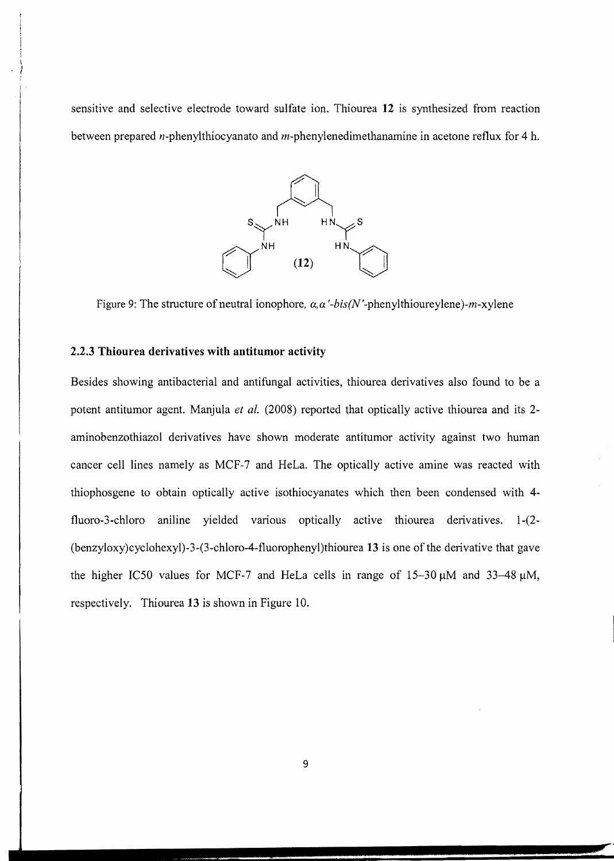sensitive and selective electrode toward sulfate ion. Thiourea **12** is synthesized from reaction between prepared n-phenylthiocyanato and m-phenylenedimethanamine in acetone reflux for 4 h.



Figure 9: The structure of neutral ionophore,  $\alpha$ ,  $\alpha'$ -bis(N'-phenylthioureylene)-m-xylene

### **2.2.3 Thiourea derivatives with antitumor activity**

Besides showing antibacterial and antifungal activities, thiourea derivatives also found to be a potent antitumor agent. Manjula *et al.* (2008) reported that optically active thiourea and its 2aminobenzothiazol derivatives have shown moderate antitumor activity against two human cancer cell lines namely as MCF-7 and HeLa. The optically active amine was reacted with thiophosgene to obtain optically active isothiocyanates which then been condensed with 4 fluoro-3-chloro aniline yielded various optically active thiourea derivatives. 1-(2-(benzyloxy)cyclohexyl)-3-(3-chloro-4-fluorophenyl)thiourea **13** is one of the derivative that gave the higher IC50 values for MCF-7 and HeLa cells in range of  $15-30 \mu M$  and  $33-48 \mu M$ , respectively. Thiourea 13 is shown in Figure 10.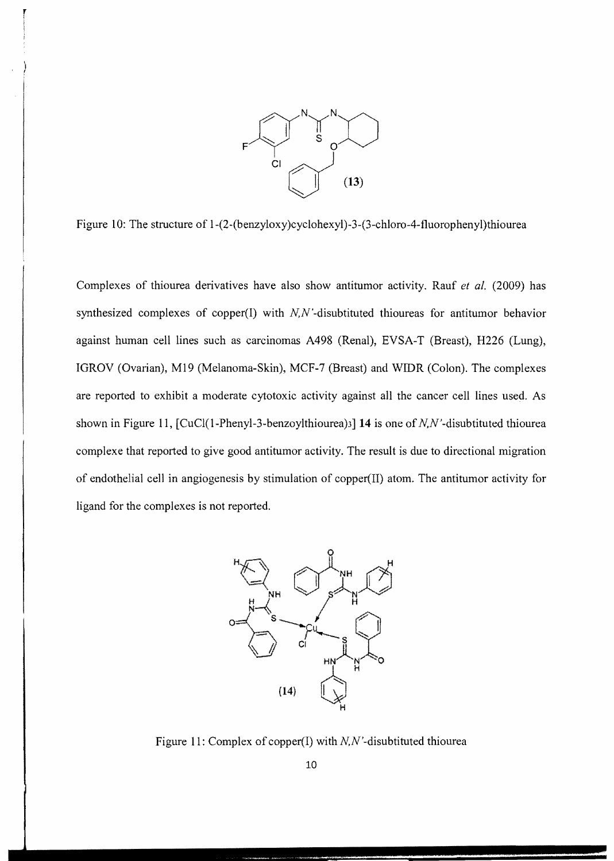

Figure 10: The structure of 1-(2-(benzyloxy)cyclohexyl)-3-(3-chloro-4-fluorophenyl)thiourea

Complexes of thiourea derivatives have also show antitumor activity. Rauf *et al.* (2009) has synthesized complexes of copper(I) with  $N$ , $N$ -disubtituted thioureas for antitumor behavior against human cell lines such as carcinomas A498 (Renal), EVSA-T (Breast), H226 (Lung), IGROV (Ovarian), M19 (Melanoma-Skin), MCF-7 (Breast) and WIDR (Colon). The complexes are reported to exhibit a moderate cytotoxic activity against all the cancer cell lines used. As shown in Figure 11, [CuCl(1-Phenyl-3-benzoylthiourea)3] **14** is one of N,N'-disubtituted thiourea complexe that reported to give good antitumor activity. The result is due to directional migration of endothelial cell in angiogenesis by stimulation of copper(II) atom. The antitumor activity for ligand for the complexes is not reported.



Figure 11: Complex of copper(I) with N,N'-disubtituted thiourea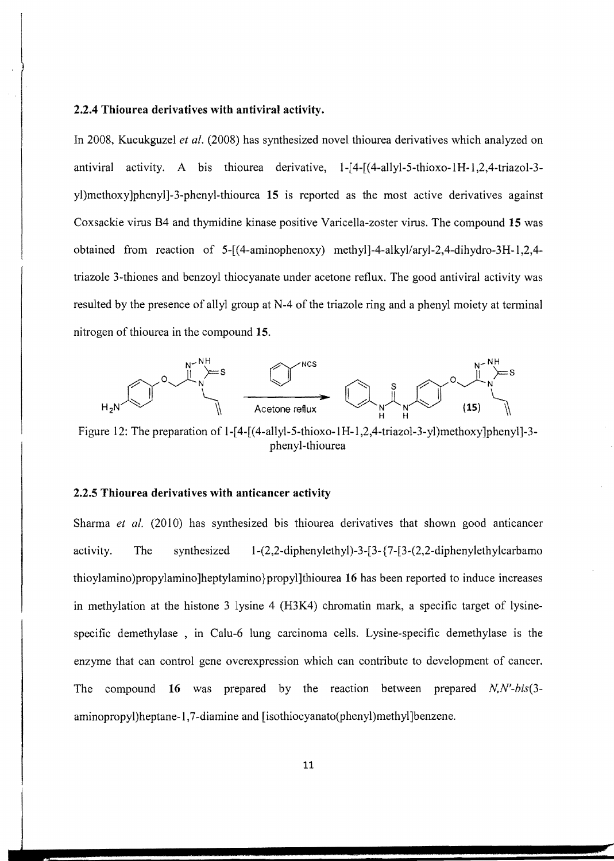#### **2.2.4 Thiourea derivatives with antiviral activity.**

In 2008, Kucukguzel *et al.* (2008) has synthesized novel thiourea derivatives which analyzed on antiviral activity. A bis thiourea derivative, 1-[4-[(4-allyl-5-thioxo-lH-l,2,4-triazol-3 yl)methoxy]phenyl]-3-phenyl-thiourea **15** is reported as the most active derivatives against Coxsackie virus B4 and thymidine kinase positive Varicella-zoster virus. The compound **15** was obtained from reaction of 5-[(4-aminophenoxy) methyl]-4-alkyllaryl-2,4-dihydro-3H-l,2,4 triazo1e 3-thiones and benzoyl thiocyanate under acetone reflux. The good antiviral activity was resulted by the presence of allyl group at N-4 of the triazole ring and a phenyl moiety at terminal nitrogen of thiourea in the compound **15.** 



Figure 12: The preparation of 1-[4-[(4-allyl-5-thioxo-1H-1,2,4-triazol-3-yl)methoxy]phenyl]-3phenyl-thiourea

# **2.2.5 Thiourea derivatives with anticancer activity**

Sharma *et al.* (2010) has synthesized bis thiourea derivatives that shown good anticancer activity. The synthesized  $1-(2,2-\text{dipheny}let\text{hyl})-3-[3-(7-1-2\cdot2-\text{dipheny}let\text{hylcarbamo})]$ thioylamino)propylamino]heptylamino}propyl]thiourea **16** has been reported to induce increases in methylation at the histone 3 lysine 4 (H3K4) chromatin mark, a specific target of lysinespecific demethylase , in Calu-6 lung carcinoma cells. Lysine-specific demethylase is the enzyme that can control gene overexpression which can contribute to development of cancer. The compound **16** was prepared by the reaction between prepared *N,N'-bis(3* aminopropyl)heptane-1,7-diamine and [isothiocyanato(phenyl)methyl]benzene.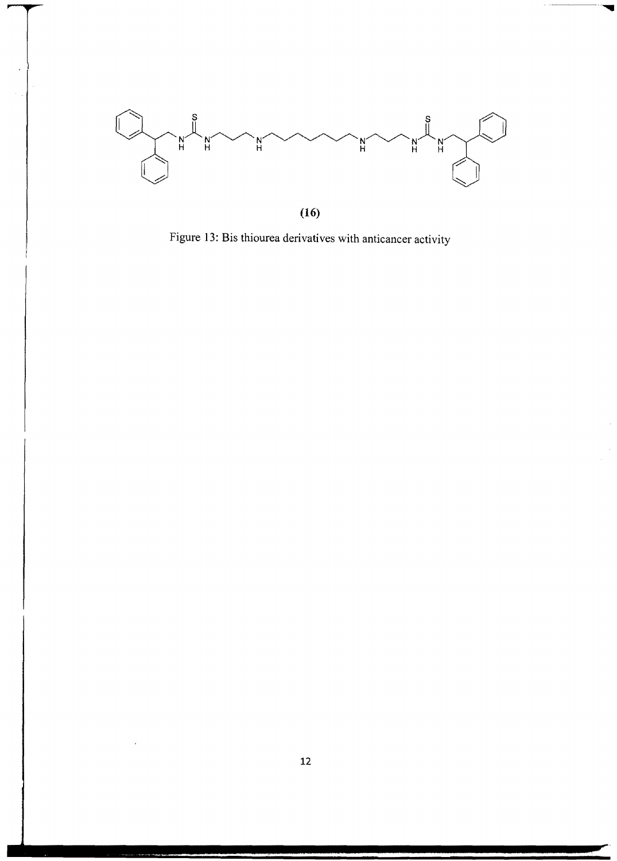

Figure 13: Bis thiourea derivatives with anticancer activity

 $\epsilon$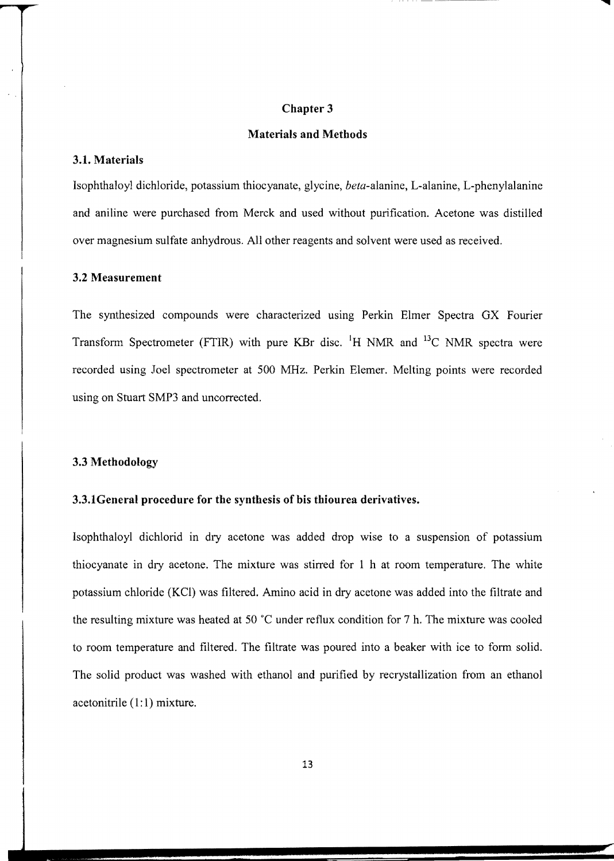#### **Chapter 3**

#### **Materials and Methods**

#### **3.1. Materials**

Isophthaloyl dichloride, potassium thiocyanate, glycine, *beta-alanine,* L-alanine, L-phenylalanine and aniline were purchased from Merck and used without purification. Acetone was distilled over magnesium sulfate anhydrous. All other reagents and solvent were used as received.

#### **3.2 Measurement**

The synthesized compounds were characterized usmg Perkin Elmer Spectra OX Fourier Transform Spectrometer (FTIR) with pure KBr disc. <sup>1</sup>H NMR and <sup>13</sup>C NMR spectra were recorded using Joel spectrometer at 500 MHz. Perkin Elemer. Melting points were recorded using on Stuart SMP3 and uncorrected.

#### **3.3 Methodology**

#### **3.3.1General procedure for the synthesis of his thiourea derivatives.**

Isophthaloyl dichlorid in dry acetone was added drop wise to a suspension of potassium thiocyanate in dry acetone. The mixture was stirred for 1 h at room temperature. The white potassium chloride (Kel) was filtered. Amino acid in dry acetone was added into the filtrate and the resulting mixture was heated at 50  $^{\circ}$ C under reflux condition for 7 h. The mixture was cooled to room temperature and filtered. The filtrate was poured into a beaker with ice to fonn solid. The solid product was washed with ethanol and purified by recrystallization from an ethanol acetonitrile  $(1:1)$  mixture.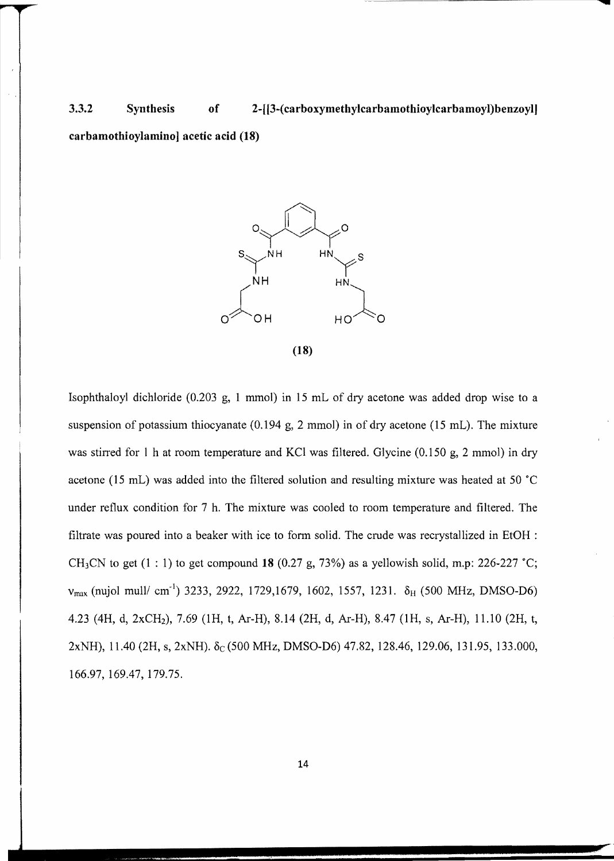3.3.2 Synthesis of 2-[[3-( carboxymethylcarbamothioylcarbamoyl) benzoyl]

carbamothioylamino] acetic acid (18)



Isophthaloyl dichloride (0.203 g, 1 mmol) in 15 mL of dry acetone was added drop wise to a suspension of potassium thiocyanate (0.194 g, 2 mmol) in of dry acetone (15 mL). The mixture was stirred for I h at room temperature and KCI was filtered. Glycine (0.150 g, 2 mmol) in dry acetone (15 mL) was added into the filtered solution and resulting mixture was heated at 50 ·C under reflux condition for 7 h. The mixture was cooled to room temperature and filtered. The filtrate was poured into a beaker with ice to form solid. The crude was recrystallized in EtOH : CH<sub>3</sub>CN to get (1 : 1) to get compound 18 (0.27 g, 73%) as a yellowish solid, m.p: 226-227 °C;  $v_{\text{max}}$  (nujol mull/ cm<sup>-1</sup>) 3233, 2922, 1729,1679, 1602, 1557, 1231.  $\delta_H$  (500 MHz, DMSO-D6) 4.23 (4H, d, 2xCH2), 7.69 (lH, t, Ar-H), 8.14 (2H, d, Ar-H), 8.47 (lH, s, Ar-H), 11.10 (2H, t, 2xNH), 11.40 (2H, s, 2xNH).  $\delta_C$ (500 MHz, DMSO-D6) 47.82, 128.46, 129.06, 131.95, 133.000, 166.97, 169.47, 179.75.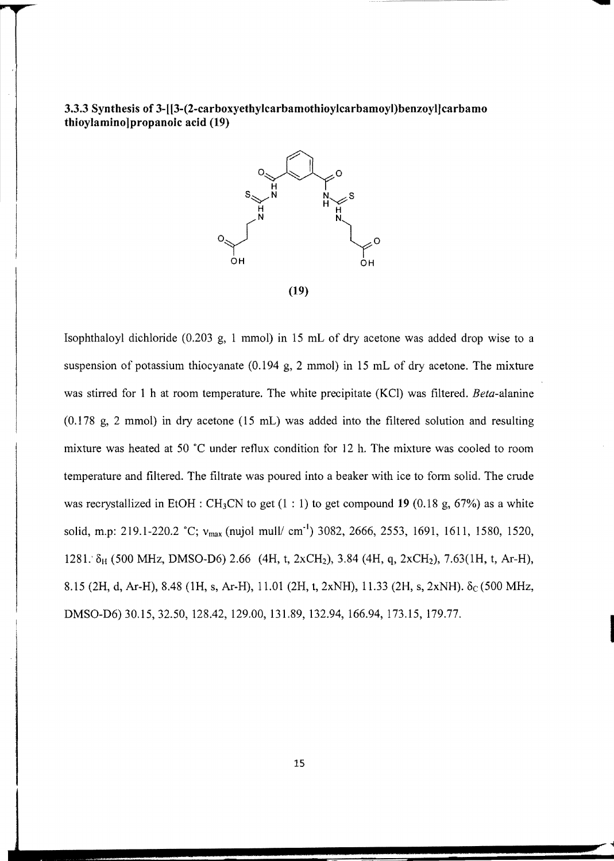**3.3.3 Synthesis of 3-[[3-(2-carboxyethylcarbamothioylcarbamoyl)benzoyIJcarbamo thioylamino]propanoic acid (19)** 



Isophthaloyl dichloride (0.203 g, 1 mmol) **in** 15 mL of dry acetone was added drop wise to a suspension of potassium thiocyanate (0.194 g, 2 mmol) in 15 mL of dry acetone. The mixture was stirred for 1 h at room temperature. The white precipitate (KCI) was filtered. *Beta-alanine*  (0.178 g, 2 mmol) in dry acetone (15 mL) was added into the filtered solution and resulting mixture was heated at 50 ·C under reflux condition for 12 h. The mixture was cooled to room temperature and filtered. The filtrate was poured into a beaker with ice to form solid. The crude was recrystallized in EtOH : CH3CN to get (1 : 1) to get compound **19** (0.18 g, 67%) as a white solid, m.p: 219.1-220.2 °C;  $v_{max}$  (nujol mull/ cm<sup>-1</sup>) 3082, 2666, 2553, 1691, 1611, 1580, 1520, 1281:  $\delta_H$  (500 MHz, DMSO-D6) 2.66 (4H, t, 2xCH<sub>2</sub>), 3.84 (4H, q, 2xCH<sub>2</sub>), 7.63(1H, t, Ar-H), 8.15 (2H, d, Ar-H), 8.48 (1H, s, Ar-H), 11.01 (2H, t, 2xNH), 11.33 (2H, s, 2xNH).  $\delta_c$  (500 MHz, DMSO-D6) 30.15, 32.50, 128.42, 129.00, 131.89, 132.94, 166.94, 173.15, 179.77. I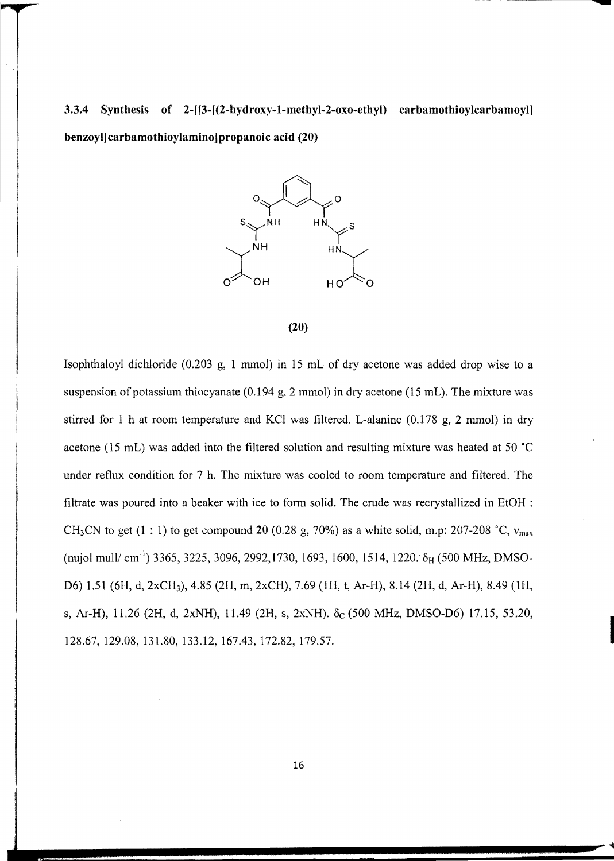**3.3.4 Synthesis of 2-[[3-[(2-hydroxy-l-methyl-2-oxo-ethyl) carbamothioylcarbamoyl] benzoyl]carbamothioylamino]propanoic acid (20)** 





Isophthaloyl dichloride (0.203 g, 1 mmol) in 15 mL of dry acetone was added drop wise to a suspension of potassium thiocyanate  $(0.194 \text{ g}, 2 \text{ mmol})$  in dry acetone  $(15 \text{ mL})$ . The mixture was stirred for 1 h at room temperature and KCI was filtered. L-alanine (0.178 g, 2 mmol) in dry acetone (15 mL) was added into the filtered solution and resulting mixture was heated at 50 °C under reflux condition for 7 h. The mixture was cooled to room temperature and filtered. The filtrate was poured into a beaker with ice to form solid. The crude was recrystallized in EtOH : CH<sub>3</sub>CN to get (1 : 1) to get compound 20 (0.28 g, 70%) as a white solid, m.p: 207-208  $^{\circ}$ C,  $v_{\text{max}}$ (nujol mull/ cm<sup>-1</sup>) 3365, 3225, 3096, 2992, 1730, 1693, 1600, 1514, 1220.  $\delta_H$  (500 MHz, DMSO-D6) 1.51 (6H, d, 2xCH3), 4.85 (2H, m, 2xCH), 7.69 (lH, t, Ar-H), 8.14 (2H, d, Ar-H), 8.49 (lH, s, Ar-H), 11.26 (2H, d, 2xNH), 11.49 (2H, s, 2xNH). δ<sub>C</sub> (500 MHz, DMSO-D6) 17.15, 53.20, 128.67,129.08,131.80, l33.12, 167.43,172.82,179.57.